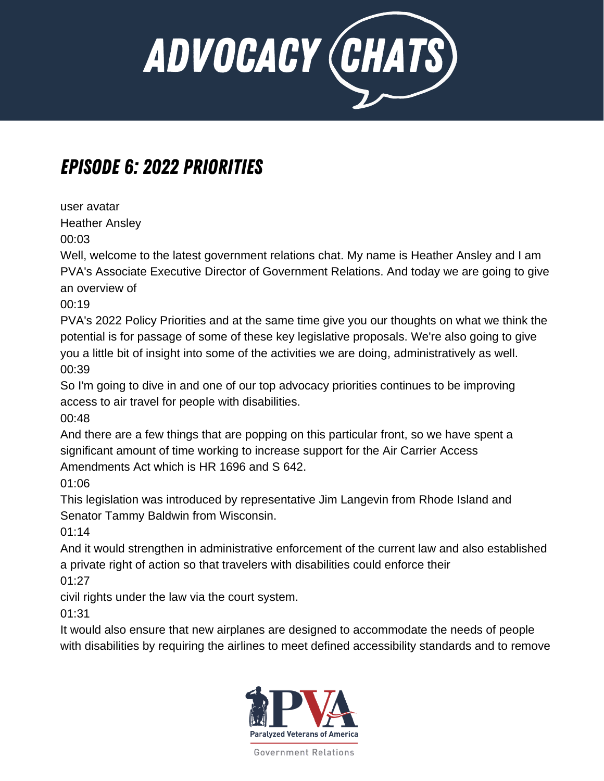

## Episode 6: 2022 Priorities

user avatar Heather Ansley

00:03

Well, welcome to the latest government relations chat. My name is Heather Ansley and I am PVA's Associate Executive Director of Government Relations. And today we are going to give an overview of

00:19

PVA's 2022 Policy Priorities and at the same time give you our thoughts on what we think the potential is for passage of some of these key legislative proposals. We're also going to give you a little bit of insight into some of the activities we are doing, administratively as well. 00:39

So I'm going to dive in and one of our top advocacy priorities continues to be improving access to air travel for people with disabilities.

00:48

And there are a few things that are popping on this particular front, so we have spent a significant amount of time working to increase support for the Air Carrier Access Amendments Act which is HR 1696 and S 642.

01:06

This legislation was introduced by representative Jim Langevin from Rhode Island and Senator Tammy Baldwin from Wisconsin.

01:14

And it would strengthen in administrative enforcement of the current law and also established a private right of action so that travelers with disabilities could enforce their

01:27

civil rights under the law via the court system.

01:31

It would also ensure that new airplanes are designed to accommodate the needs of people with disabilities by requiring the airlines to meet defined accessibility standards and to remove

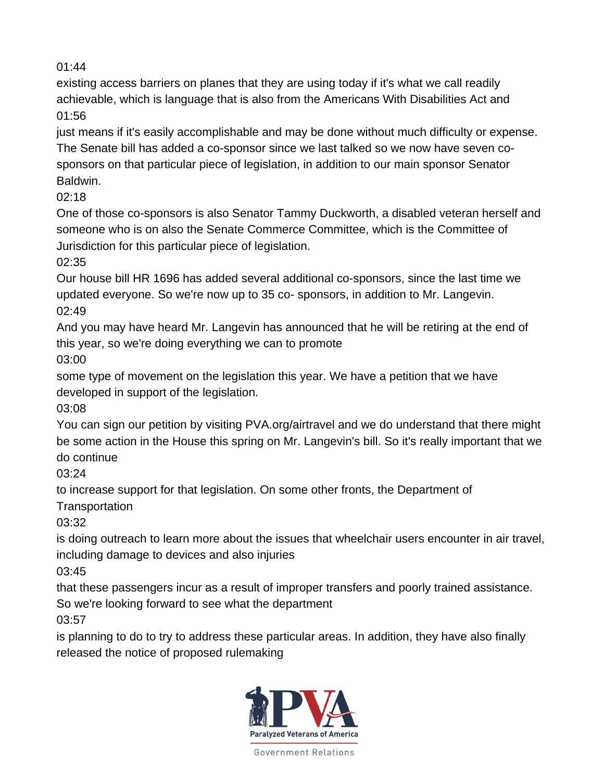existing access barriers on planes that they are using today if it's what we call readily achievable, which is language that is also from the Americans With Disabilities Act and 01:56

just means if it's easily accomplishable and may be done without much difficulty or expense. The Senate bill has added a co-sponsor since we last talked so we now have seven cosponsors on that particular piece of legislation, in addition to our main sponsor Senator Baldwin.

02:18

One of those co-sponsors is also Senator Tammy Duckworth, a disabled veteran herself and someone who is on also the Senate Commerce Committee, which is the Committee of Jurisdiction for this particular piece of legislation.

02:35

Our house bill HR 1696 has added several additional co-sponsors, since the last time we updated everyone. So we're now up to 35 co- sponsors, in addition to Mr. Langevin. 02:49

And you may have heard Mr. Langevin has announced that he will be retiring at the end of this year, so we're doing everything we can to promote

03:00

some type of movement on the legislation this year. We have a petition that we have developed in support of the legislation.

03:08

You can sign our petition by visiting PVA.org/airtravel and we do understand that there might be some action in the House this spring on Mr. Langevin's bill. So it's really important that we do continue

03:24

to increase support for that legislation. On some other fronts, the Department of

**Transportation** 

03:32

is doing outreach to learn more about the issues that wheelchair users encounter in air travel, including damage to devices and also injuries

03:45

that these passengers incur as a result of improper transfers and poorly trained assistance. So we're looking forward to see what the department

03:57

is planning to do to try to address these particular areas. In addition, they have also finally released the notice of proposed rulemaking

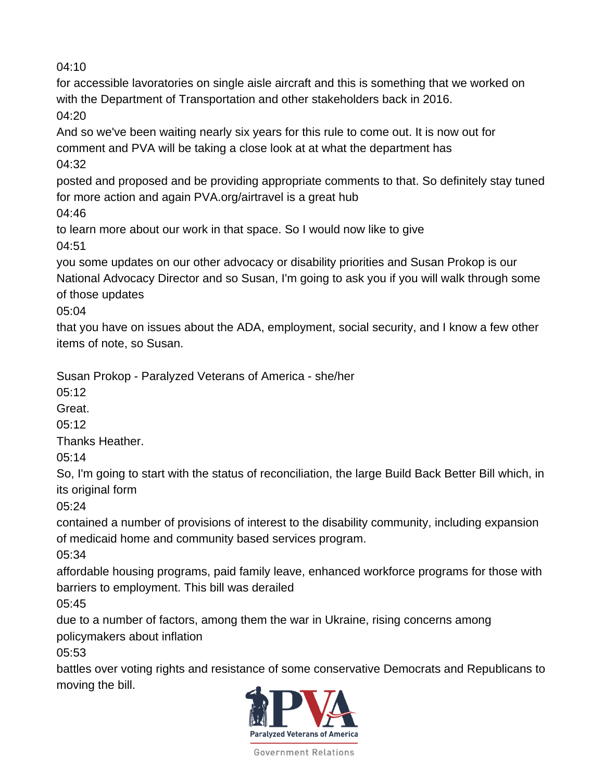for accessible lavoratories on single aisle aircraft and this is something that we worked on with the Department of Transportation and other stakeholders back in 2016. 04:20

And so we've been waiting nearly six years for this rule to come out. It is now out for comment and PVA will be taking a close look at at what the department has 04:32

posted and proposed and be providing appropriate comments to that. So definitely stay tuned for more action and again PVA.org/airtravel is a great hub

04:46

to learn more about our work in that space. So I would now like to give 04:51

you some updates on our other advocacy or disability priorities and Susan Prokop is our National Advocacy Director and so Susan, I'm going to ask you if you will walk through some of those updates

05:04

that you have on issues about the ADA, employment, social security, and I know a few other items of note, so Susan.

Susan Prokop - Paralyzed Veterans of America - she/her

05:12

Great.

 $05:12$ 

Thanks Heather.

05:14

So, I'm going to start with the status of reconciliation, the large Build Back Better Bill which, in its original form

05:24

contained a number of provisions of interest to the disability community, including expansion of medicaid home and community based services program.

05:34

affordable housing programs, paid family leave, enhanced workforce programs for those with barriers to employment. This bill was derailed

05:45

due to a number of factors, among them the war in Ukraine, rising concerns among policymakers about inflation

05:53

battles over voting rights and resistance of some conservative Democrats and Republicans to moving the bill.

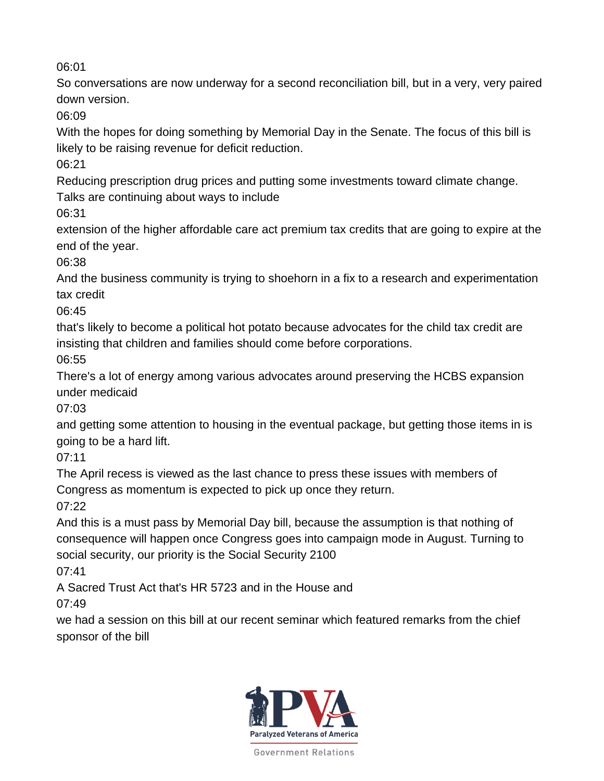So conversations are now underway for a second reconciliation bill, but in a very, very paired down version.

06:09

With the hopes for doing something by Memorial Day in the Senate. The focus of this bill is likely to be raising revenue for deficit reduction.

06:21

Reducing prescription drug prices and putting some investments toward climate change.

Talks are continuing about ways to include

06:31

extension of the higher affordable care act premium tax credits that are going to expire at the end of the year.

06:38

And the business community is trying to shoehorn in a fix to a research and experimentation tax credit

06:45

that's likely to become a political hot potato because advocates for the child tax credit are insisting that children and families should come before corporations.

06:55

There's a lot of energy among various advocates around preserving the HCBS expansion under medicaid

07:03

and getting some attention to housing in the eventual package, but getting those items in is going to be a hard lift.

07:11

The April recess is viewed as the last chance to press these issues with members of Congress as momentum is expected to pick up once they return.

07:22

And this is a must pass by Memorial Day bill, because the assumption is that nothing of consequence will happen once Congress goes into campaign mode in August. Turning to social security, our priority is the Social Security 2100

07:41

A Sacred Trust Act that's HR 5723 and in the House and

07:49

we had a session on this bill at our recent seminar which featured remarks from the chief sponsor of the bill

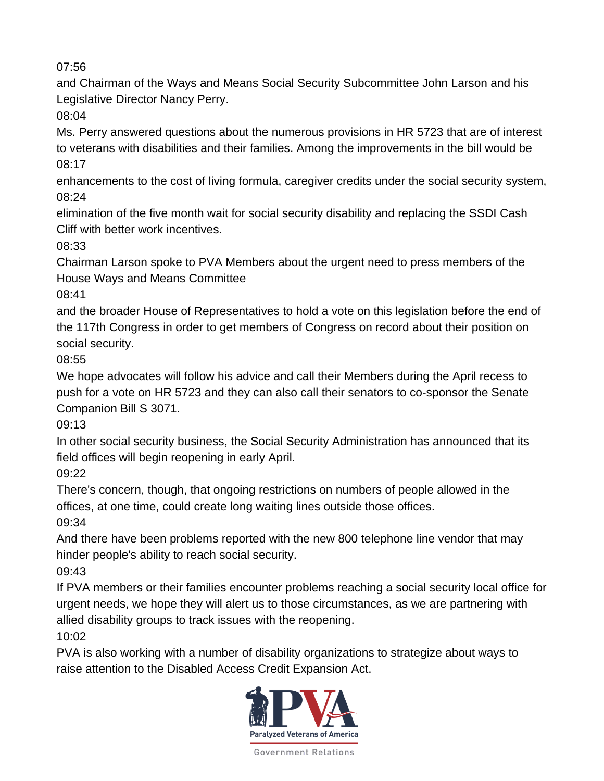and Chairman of the Ways and Means Social Security Subcommittee John Larson and his Legislative Director Nancy Perry.

08:04

Ms. Perry answered questions about the numerous provisions in HR 5723 that are of interest to veterans with disabilities and their families. Among the improvements in the bill would be 08:17

enhancements to the cost of living formula, caregiver credits under the social security system, 08:24

elimination of the five month wait for social security disability and replacing the SSDI Cash Cliff with better work incentives.

08:33

Chairman Larson spoke to PVA Members about the urgent need to press members of the House Ways and Means Committee

08:41

and the broader House of Representatives to hold a vote on this legislation before the end of the 117th Congress in order to get members of Congress on record about their position on social security.

08:55

We hope advocates will follow his advice and call their Members during the April recess to push for a vote on HR 5723 and they can also call their senators to co-sponsor the Senate Companion Bill S 3071.

09:13

In other social security business, the Social Security Administration has announced that its field offices will begin reopening in early April.

09:22

There's concern, though, that ongoing restrictions on numbers of people allowed in the offices, at one time, could create long waiting lines outside those offices.

09:34

And there have been problems reported with the new 800 telephone line vendor that may hinder people's ability to reach social security.

09:43

If PVA members or their families encounter problems reaching a social security local office for urgent needs, we hope they will alert us to those circumstances, as we are partnering with allied disability groups to track issues with the reopening.

10:02

PVA is also working with a number of disability organizations to strategize about ways to raise attention to the Disabled Access Credit Expansion Act.

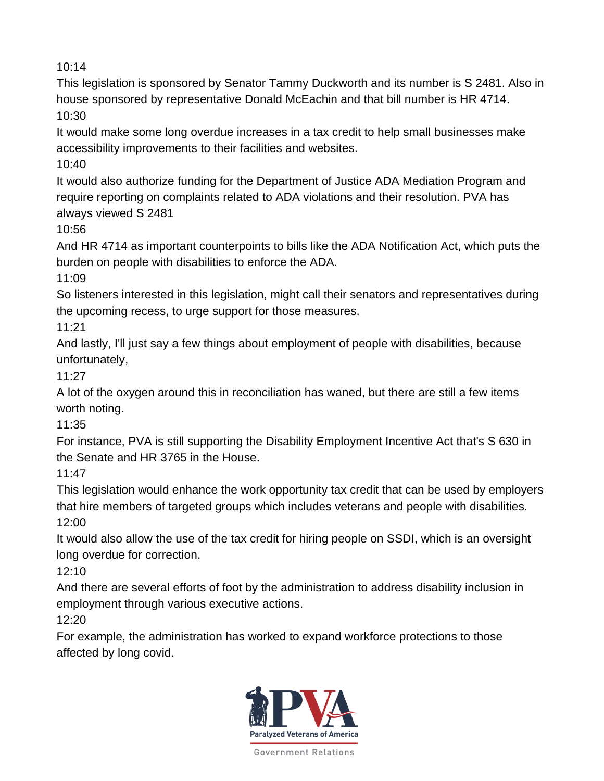This legislation is sponsored by Senator Tammy Duckworth and its number is S 2481. Also in house sponsored by representative Donald McEachin and that bill number is HR 4714. 10:30

It would make some long overdue increases in a tax credit to help small businesses make accessibility improvements to their facilities and websites.

 $10:40$ 

It would also authorize funding for the Department of Justice ADA Mediation Program and require reporting on complaints related to ADA violations and their resolution. PVA has always viewed S 2481

10:56

And HR 4714 as important counterpoints to bills like the ADA Notification Act, which puts the burden on people with disabilities to enforce the ADA.

11:09

So listeners interested in this legislation, might call their senators and representatives during the upcoming recess, to urge support for those measures.

11:21

And lastly, I'll just say a few things about employment of people with disabilities, because unfortunately,

11:27

A lot of the oxygen around this in reconciliation has waned, but there are still a few items worth noting.

11:35

For instance, PVA is still supporting the Disability Employment Incentive Act that's S 630 in the Senate and HR 3765 in the House.

11:47

This legislation would enhance the work opportunity tax credit that can be used by employers that hire members of targeted groups which includes veterans and people with disabilities. 12:00

It would also allow the use of the tax credit for hiring people on SSDI, which is an oversight long overdue for correction.

12:10

And there are several efforts of foot by the administration to address disability inclusion in employment through various executive actions.

12:20

For example, the administration has worked to expand workforce protections to those affected by long covid.

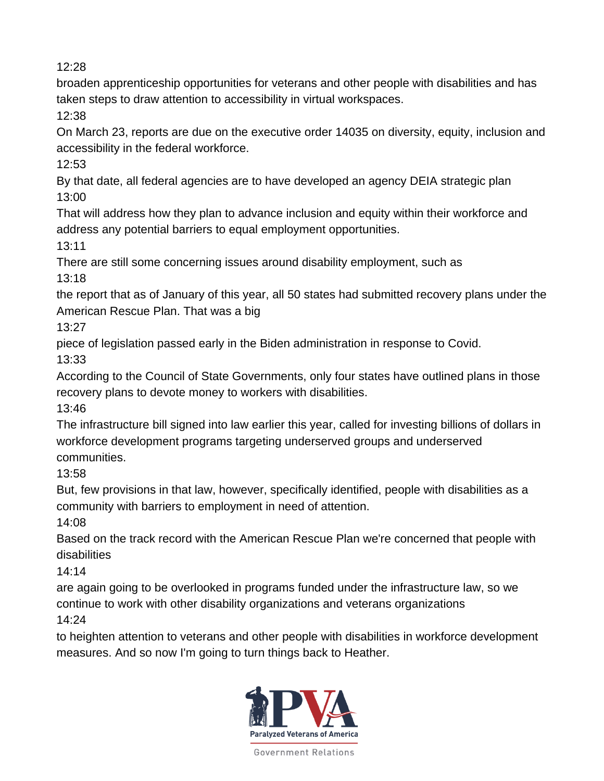broaden apprenticeship opportunities for veterans and other people with disabilities and has taken steps to draw attention to accessibility in virtual workspaces.

12:38

On March 23, reports are due on the executive order 14035 on diversity, equity, inclusion and accessibility in the federal workforce.

12:53

By that date, all federal agencies are to have developed an agency DEIA strategic plan 13:00

That will address how they plan to advance inclusion and equity within their workforce and address any potential barriers to equal employment opportunities.

13:11

There are still some concerning issues around disability employment, such as 13:18

the report that as of January of this year, all 50 states had submitted recovery plans under the American Rescue Plan. That was a big

 $13:27$ 

piece of legislation passed early in the Biden administration in response to Covid.

13:33

According to the Council of State Governments, only four states have outlined plans in those recovery plans to devote money to workers with disabilities.

13:46

The infrastructure bill signed into law earlier this year, called for investing billions of dollars in workforce development programs targeting underserved groups and underserved communities.

13:58

But, few provisions in that law, however, specifically identified, people with disabilities as a community with barriers to employment in need of attention.

14:08

Based on the track record with the American Rescue Plan we're concerned that people with disabilities

14:14

are again going to be overlooked in programs funded under the infrastructure law, so we continue to work with other disability organizations and veterans organizations 14:24

to heighten attention to veterans and other people with disabilities in workforce development measures. And so now I'm going to turn things back to Heather.

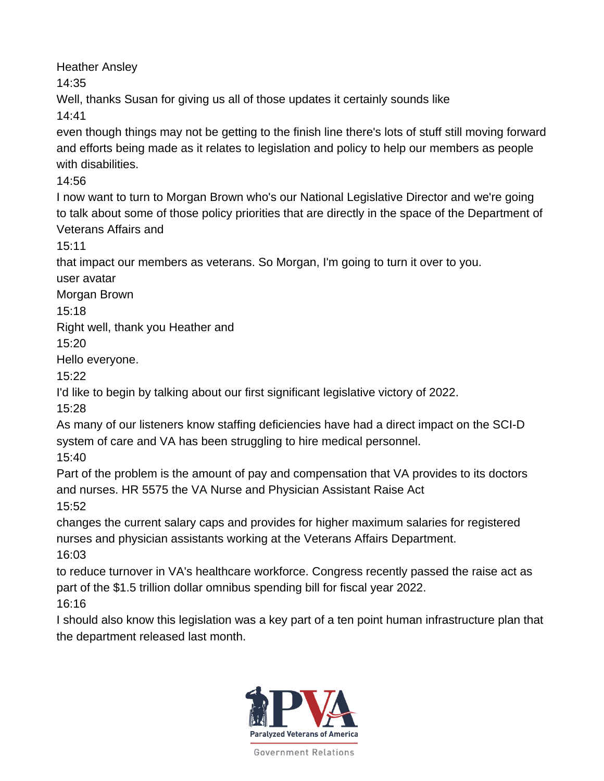Heather Ansley

14:35

Well, thanks Susan for giving us all of those updates it certainly sounds like 14:41

even though things may not be getting to the finish line there's lots of stuff still moving forward and efforts being made as it relates to legislation and policy to help our members as people with disabilities.

14:56

I now want to turn to Morgan Brown who's our National Legislative Director and we're going to talk about some of those policy priorities that are directly in the space of the Department of Veterans Affairs and

15:11

that impact our members as veterans. So Morgan, I'm going to turn it over to you.

user avatar

Morgan Brown

15:18

Right well, thank you Heather and

15:20

Hello everyone.

15:22

I'd like to begin by talking about our first significant legislative victory of 2022.

15:28

As many of our listeners know staffing deficiencies have had a direct impact on the SCI-D system of care and VA has been struggling to hire medical personnel.

15:40

Part of the problem is the amount of pay and compensation that VA provides to its doctors and nurses. HR 5575 the VA Nurse and Physician Assistant Raise Act

15:52

changes the current salary caps and provides for higher maximum salaries for registered nurses and physician assistants working at the Veterans Affairs Department. 16:03

to reduce turnover in VA's healthcare workforce. Congress recently passed the raise act as part of the \$1.5 trillion dollar omnibus spending bill for fiscal year 2022.

16:16

I should also know this legislation was a key part of a ten point human infrastructure plan that the department released last month.

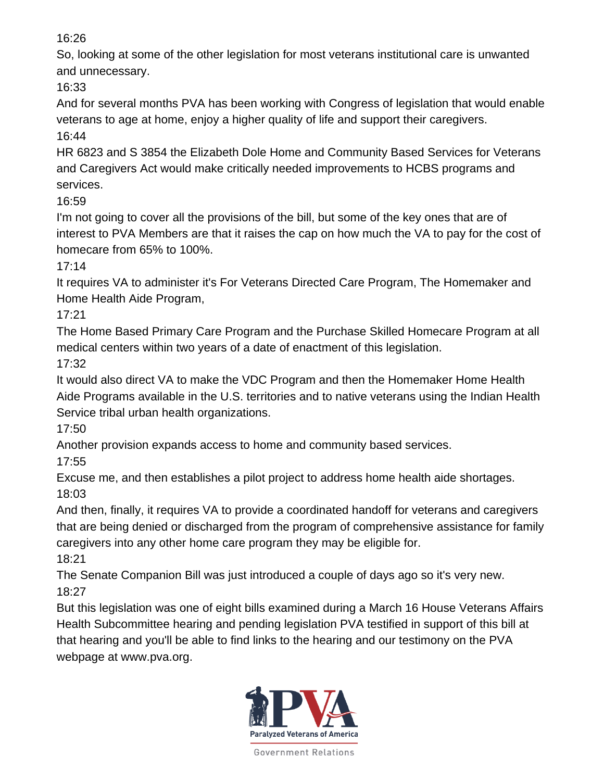So, looking at some of the other legislation for most veterans institutional care is unwanted and unnecessary.

16:33

And for several months PVA has been working with Congress of legislation that would enable veterans to age at home, enjoy a higher quality of life and support their caregivers.

16:44

HR 6823 and S 3854 the Elizabeth Dole Home and Community Based Services for Veterans and Caregivers Act would make critically needed improvements to HCBS programs and services.

16:59

I'm not going to cover all the provisions of the bill, but some of the key ones that are of interest to PVA Members are that it raises the cap on how much the VA to pay for the cost of homecare from 65% to 100%.

17:14

It requires VA to administer it's For Veterans Directed Care Program, The Homemaker and Home Health Aide Program,

17:21

The Home Based Primary Care Program and the Purchase Skilled Homecare Program at all medical centers within two years of a date of enactment of this legislation.

17:32

It would also direct VA to make the VDC Program and then the Homemaker Home Health Aide Programs available in the U.S. territories and to native veterans using the Indian Health Service tribal urban health organizations.

17:50

Another provision expands access to home and community based services.

17:55

Excuse me, and then establishes a pilot project to address home health aide shortages. 18:03

And then, finally, it requires VA to provide a coordinated handoff for veterans and caregivers that are being denied or discharged from the program of comprehensive assistance for family caregivers into any other home care program they may be eligible for.

18:21

The Senate Companion Bill was just introduced a couple of days ago so it's very new. 18:27

But this legislation was one of eight bills examined during a March 16 House Veterans Affairs Health Subcommittee hearing and pending legislation PVA testified in support of this bill at that hearing and you'll be able to find links to the hearing and our testimony on the PVA webpage at www.pva.org.

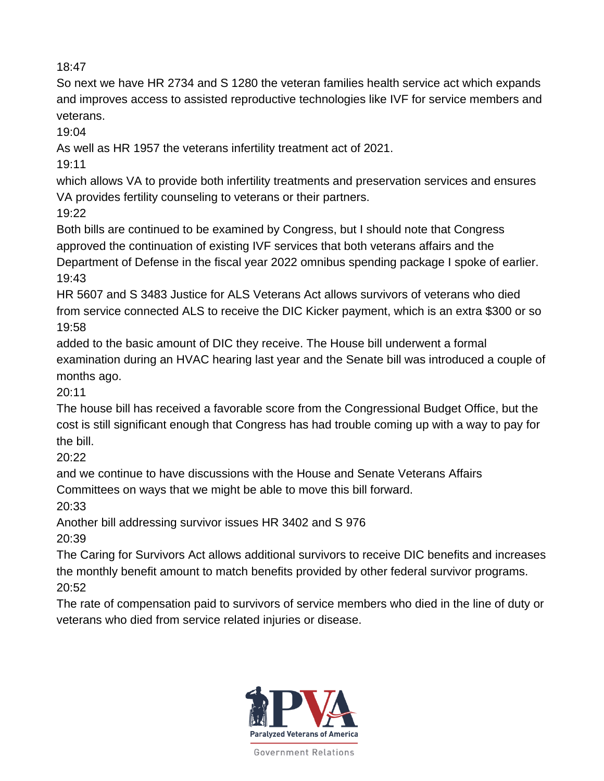So next we have HR 2734 and S 1280 the veteran families health service act which expands and improves access to assisted reproductive technologies like IVF for service members and veterans.

19:04

As well as HR 1957 the veterans infertility treatment act of 2021.

19:11

which allows VA to provide both infertility treatments and preservation services and ensures VA provides fertility counseling to veterans or their partners.

19:22

Both bills are continued to be examined by Congress, but I should note that Congress approved the continuation of existing IVF services that both veterans affairs and the Department of Defense in the fiscal year 2022 omnibus spending package I spoke of earlier. 19:43

HR 5607 and S 3483 Justice for ALS Veterans Act allows survivors of veterans who died from service connected ALS to receive the DIC Kicker payment, which is an extra \$300 or so 19:58

added to the basic amount of DIC they receive. The House bill underwent a formal examination during an HVAC hearing last year and the Senate bill was introduced a couple of months ago.

20:11

The house bill has received a favorable score from the Congressional Budget Office, but the cost is still significant enough that Congress has had trouble coming up with a way to pay for the bill.

20:22

and we continue to have discussions with the House and Senate Veterans Affairs Committees on ways that we might be able to move this bill forward.

20:33

Another bill addressing survivor issues HR 3402 and S 976 20:39

The Caring for Survivors Act allows additional survivors to receive DIC benefits and increases the monthly benefit amount to match benefits provided by other federal survivor programs. 20:52

The rate of compensation paid to survivors of service members who died in the line of duty or veterans who died from service related injuries or disease.

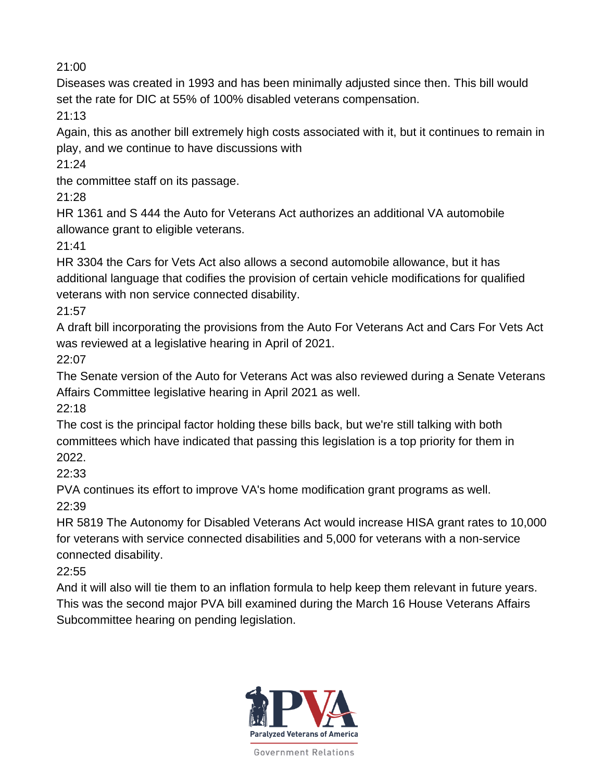Diseases was created in 1993 and has been minimally adjusted since then. This bill would set the rate for DIC at 55% of 100% disabled veterans compensation.

21:13

Again, this as another bill extremely high costs associated with it, but it continues to remain in play, and we continue to have discussions with

21:24

the committee staff on its passage.

21:28

HR 1361 and S 444 the Auto for Veterans Act authorizes an additional VA automobile allowance grant to eligible veterans.

 $21:41$ 

HR 3304 the Cars for Vets Act also allows a second automobile allowance, but it has additional language that codifies the provision of certain vehicle modifications for qualified veterans with non service connected disability.

21:57

A draft bill incorporating the provisions from the Auto For Veterans Act and Cars For Vets Act was reviewed at a legislative hearing in April of 2021.

22:07

The Senate version of the Auto for Veterans Act was also reviewed during a Senate Veterans Affairs Committee legislative hearing in April 2021 as well.

22:18

The cost is the principal factor holding these bills back, but we're still talking with both committees which have indicated that passing this legislation is a top priority for them in 2022.

22:33

PVA continues its effort to improve VA's home modification grant programs as well. 22:39

HR 5819 The Autonomy for Disabled Veterans Act would increase HISA grant rates to 10,000 for veterans with service connected disabilities and 5,000 for veterans with a non-service connected disability.

22:55

And it will also will tie them to an inflation formula to help keep them relevant in future years. This was the second major PVA bill examined during the March 16 House Veterans Affairs Subcommittee hearing on pending legislation.

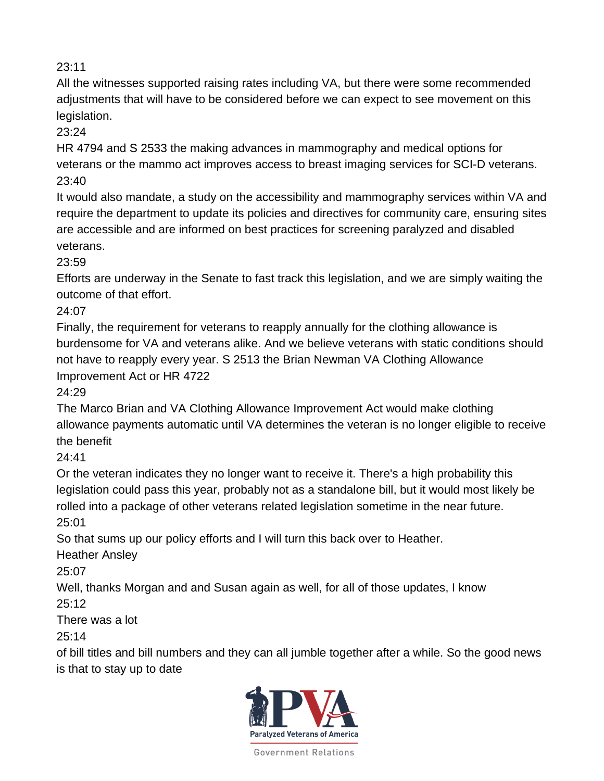All the witnesses supported raising rates including VA, but there were some recommended adjustments that will have to be considered before we can expect to see movement on this legislation.

23:24

HR 4794 and S 2533 the making advances in mammography and medical options for veterans or the mammo act improves access to breast imaging services for SCI-D veterans. 23:40

It would also mandate, a study on the accessibility and mammography services within VA and require the department to update its policies and directives for community care, ensuring sites are accessible and are informed on best practices for screening paralyzed and disabled veterans.

23:59

Efforts are underway in the Senate to fast track this legislation, and we are simply waiting the outcome of that effort.

24:07

Finally, the requirement for veterans to reapply annually for the clothing allowance is burdensome for VA and veterans alike. And we believe veterans with static conditions should not have to reapply every year. S 2513 the Brian Newman VA Clothing Allowance Improvement Act or HR 4722

24:29

The Marco Brian and VA Clothing Allowance Improvement Act would make clothing allowance payments automatic until VA determines the veteran is no longer eligible to receive the benefit

24:41

Or the veteran indicates they no longer want to receive it. There's a high probability this legislation could pass this year, probably not as a standalone bill, but it would most likely be rolled into a package of other veterans related legislation sometime in the near future. 25:01

So that sums up our policy efforts and I will turn this back over to Heather.

Heather Ansley

25:07

Well, thanks Morgan and and Susan again as well, for all of those updates, I know 25:12

There was a lot

25:14

of bill titles and bill numbers and they can all jumble together after a while. So the good news is that to stay up to date